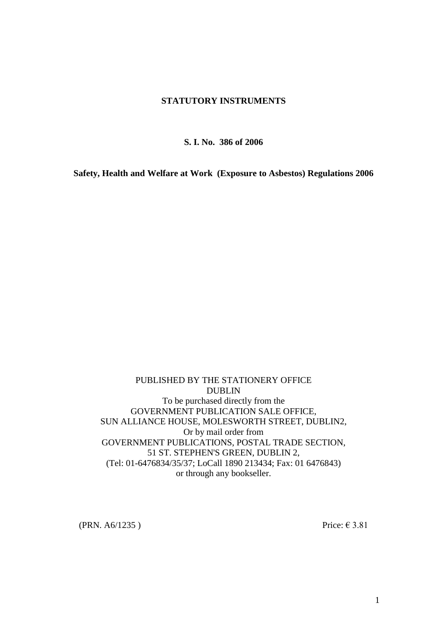### **STATUTORY INSTRUMENTS**

**S. I. No. 386 of 2006**

**Safety, Health and Welfare at Work (Exposure to Asbestos) Regulations 2006**

PUBLISHED BY THE STATIONERY OFFICE DUBLIN To be purchased directly from the GOVERNMENT PUBLICATION SALE OFFICE, SUN ALLIANCE HOUSE, MOLESWORTH STREET, DUBLIN2, Or by mail order from GOVERNMENT PUBLICATIONS, POSTAL TRADE SECTION, 51 ST. STEPHEN'S GREEN, DUBLIN 2, (Tel: 01-6476834/35/37; LoCall 1890 213434; Fax: 01 6476843) or through any bookseller.

(PRN. A6/1235) Price:  $\in$  3.81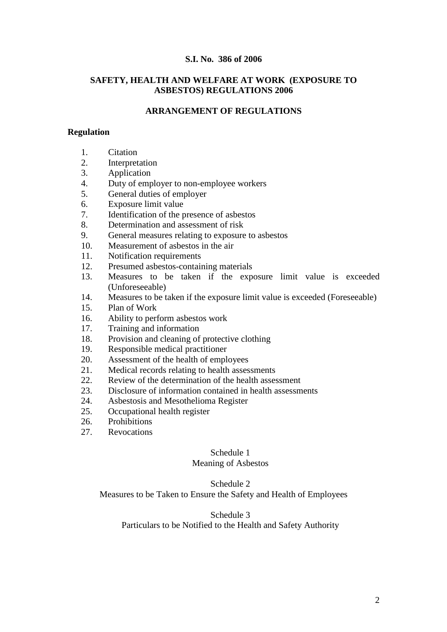### **S.I. No. 386 of 2006**

### **SAFETY, HEALTH AND WELFARE AT WORK (EXPOSURE TO ASBESTOS) REGULATIONS 2006**

## **ARRANGEMENT OF REGULATIONS**

#### **Regulation**

- 1. Citation
- 2. Interpretation
- 3. Application
- 4. Duty of employer to non-employee workers
- 5. General duties of employer
- 6. Exposure limit value
- 7. Identification of the presence of asbestos
- 8. Determination and assessment of risk
- 9. General measures relating to exposure to asbestos
- 10. Measurement of asbestos in the air
- 11. Notification requirements
- 12. Presumed asbestos-containing materials
- 13. Measures to be taken if the exposure limit value is exceeded (Unforeseeable)
- 14. Measures to be taken if the exposure limit value is exceeded (Foreseeable)
- 15. Plan of Work
- 16. Ability to perform asbestos work
- 17. Training and information
- 18. Provision and cleaning of protective clothing
- 19. Responsible medical practitioner
- 20. Assessment of the health of employees
- 21. Medical records relating to health assessments
- 22. Review of the determination of the health assessment
- 23. Disclosure of information contained in health assessments
- 24. Asbestosis and Mesothelioma Register
- 25. Occupational health register
- 26. Prohibitions
- 27. Revocations

### Schedule 1

### Meaning of Asbestos

#### Schedule 2

Measures to be Taken to Ensure the Safety and Health of Employees

Schedule 3

Particulars to be Notified to the Health and Safety Authority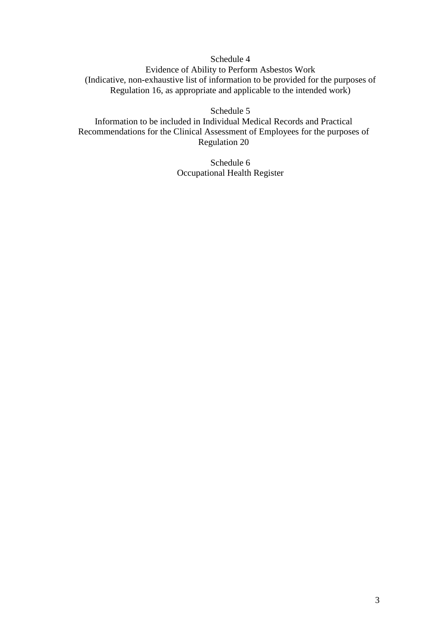Schedule 4 Evidence of Ability to Perform Asbestos Work (Indicative, non-exhaustive list of information to be provided for the purposes of Regulation 16, as appropriate and applicable to the intended work)

Schedule 5

Information to be included in Individual Medical Records and Practical Recommendations for the Clinical Assessment of Employees for the purposes of Regulation 20

> Schedule 6 Occupational Health Register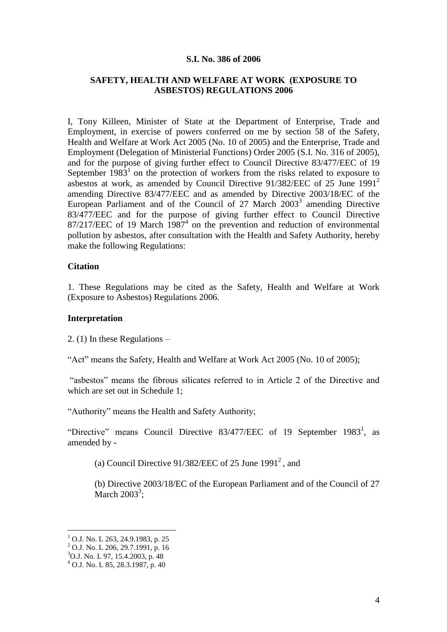#### **S.I. No. 386 of 2006**

### **SAFETY, HEALTH AND WELFARE AT WORK (EXPOSURE TO ASBESTOS) REGULATIONS 2006**

I, Tony Killeen, Minister of State at the Department of Enterprise, Trade and Employment, in exercise of powers conferred on me by section 58 of the Safety, Health and Welfare at Work Act 2005 (No. 10 of 2005) and the Enterprise, Trade and Employment (Delegation of Ministerial Functions) Order 2005 (S.I. No. 316 of 2005), and for the purpose of giving further effect to Council Directive 83/477/EEC of 19 September  $1983<sup>1</sup>$  on the protection of workers from the risks related to exposure to asbestos at work, as amended by Council Directive 91/382/EEC of 25 June 1991<sup>2</sup> amending Directive 83/477/EEC and as amended by Directive 2003/18/EC of the European Parliament and of the Council of 27 March  $2003<sup>3</sup>$  amending Directive 83/477/EEC and for the purpose of giving further effect to Council Directive  $87/217/EEC$  of 19 March  $1987<sup>4</sup>$  on the prevention and reduction of environmental pollution by asbestos, after consultation with the Health and Safety Authority, hereby make the following Regulations:

### **Citation**

1. These Regulations may be cited as the Safety, Health and Welfare at Work (Exposure to Asbestos) Regulations 2006.

### **Interpretation**

2. (1) In these Regulations –

"Act" means the Safety, Health and Welfare at Work Act 2005 (No. 10 of 2005);

"asbestos" means the fibrous silicates referred to in Article 2 of the Directive and which are set out in Schedule 1;

"Authority" means the Health and Safety Authority;

"Directive" means Council Directive  $83/477/EEC$  of 19 September 1983<sup>1</sup>, as amended by -

(a) Council Directive  $91/382$ /EEC of 25 June  $1991^2$ , and

(b) Directive 2003/18/EC of the European Parliament and of the Council of 27 March  $2003^3$ ;

 $<sup>1</sup>$  O.J. No. L 263, 24.9.1983, p. 25</sup>

 $^{2}$  O.J. No. L 206, 29.7.1991, p. 16

 $3$ O.J. No. L 97, 15.4.2003, p. 48

 $^{4}$  O.J. No. L 85, 28.3.1987, p. 40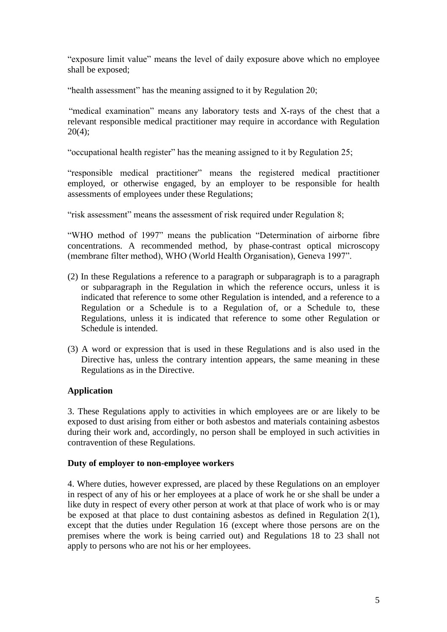"exposure limit value" means the level of daily exposure above which no employee shall be exposed;

"health assessment" has the meaning assigned to it by Regulation 20;

"medical examination" means any laboratory tests and X-rays of the chest that a relevant responsible medical practitioner may require in accordance with Regulation 20(4);

"occupational health register" has the meaning assigned to it by Regulation 25;

"responsible medical practitioner" means the registered medical practitioner employed, or otherwise engaged, by an employer to be responsible for health assessments of employees under these Regulations;

"risk assessment" means the assessment of risk required under Regulation 8;

"WHO method of 1997" means the publication "Determination of airborne fibre concentrations. A recommended method, by phase-contrast optical microscopy (membrane filter method), WHO (World Health Organisation), Geneva 1997".

- (2) In these Regulations a reference to a paragraph or subparagraph is to a paragraph or subparagraph in the Regulation in which the reference occurs, unless it is indicated that reference to some other Regulation is intended, and a reference to a Regulation or a Schedule is to a Regulation of, or a Schedule to, these Regulations, unless it is indicated that reference to some other Regulation or Schedule is intended.
- (3) A word or expression that is used in these Regulations and is also used in the Directive has, unless the contrary intention appears, the same meaning in these Regulations as in the Directive.

# **Application**

3. These Regulations apply to activities in which employees are or are likely to be exposed to dust arising from either or both asbestos and materials containing asbestos during their work and, accordingly, no person shall be employed in such activities in contravention of these Regulations.

## **Duty of employer to non-employee workers**

4. Where duties, however expressed, are placed by these Regulations on an employer in respect of any of his or her employees at a place of work he or she shall be under a like duty in respect of every other person at work at that place of work who is or may be exposed at that place to dust containing asbestos as defined in Regulation 2(1), except that the duties under Regulation 16 (except where those persons are on the premises where the work is being carried out) and Regulations 18 to 23 shall not apply to persons who are not his or her employees.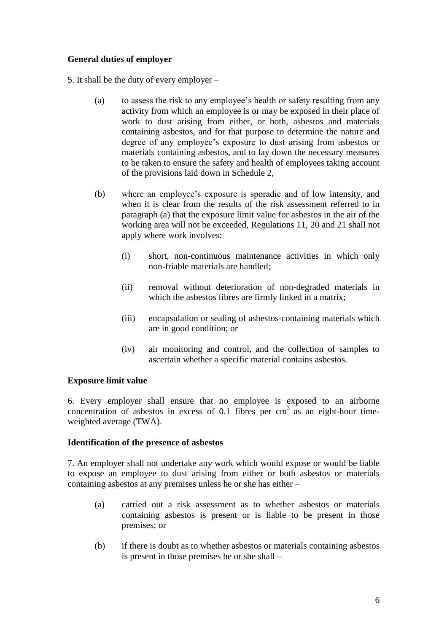## **General duties of employer**

5. It shall be the duty of every employer –

- (a) to assess the risk to any employee's health or safety resulting from any activity from which an employee is or may be exposed in their place of work to dust arising from either, or both, asbestos and materials containing asbestos, and for that purpose to determine the nature and degree of any employee's exposure to dust arising from asbestos or materials containing asbestos, and to lay down the necessary measures to be taken to ensure the safety and health of employees taking account of the provisions laid down in Schedule 2,
- (b) where an employee's exposure is sporadic and of low intensity, and when it is clear from the results of the risk assessment referred to in paragraph (a) that the exposure limit value for asbestos in the air of the working area will not be exceeded, Regulations 11, 20 and 21 shall not apply where work involves:
	- (i) short, non-continuous maintenance activities in which only non-friable materials are handled;
	- (ii) removal without deterioration of non-degraded materials in which the asbestos fibres are firmly linked in a matrix;
	- (iii) encapsulation or sealing of asbestos-containing materials which are in good condition; or
	- (iv) air monitoring and control, and the collection of samples to ascertain whether a specific material contains asbestos.

## **Exposure limit value**

6. Every employer shall ensure that no employee is exposed to an airborne concentration of asbestos in excess of  $0.1$  fibres per cm<sup>3</sup> as an eight-hour timeweighted average (TWA).

## **Identification of the presence of asbestos**

7. An employer shall not undertake any work which would expose or would be liable to expose an employee to dust arising from either or both asbestos or materials containing asbestos at any premises unless he or she has either –

- (a) carried out a risk assessment as to whether asbestos or materials containing asbestos is present or is liable to be present in those premises; or
- (b) if there is doubt as to whether asbestos or materials containing asbestos is present in those premises he or she shall –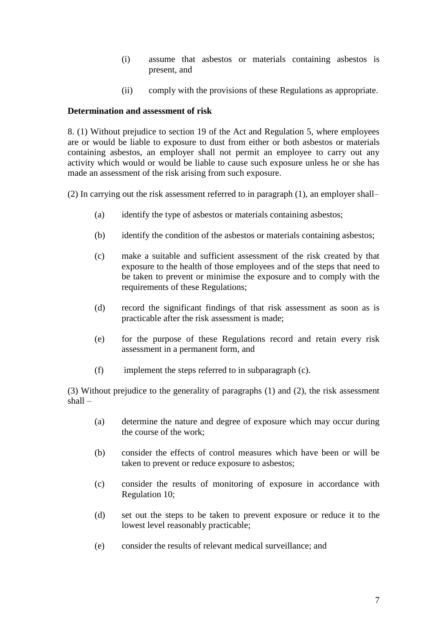- (i) assume that asbestos or materials containing asbestos is present, and
- (ii) comply with the provisions of these Regulations as appropriate.

## **Determination and assessment of risk**

8. (1) Without prejudice to section 19 of the Act and Regulation 5, where employees are or would be liable to exposure to dust from either or both asbestos or materials containing asbestos, an employer shall not permit an employee to carry out any activity which would or would be liable to cause such exposure unless he or she has made an assessment of the risk arising from such exposure.

(2) In carrying out the risk assessment referred to in paragraph (1), an employer shall–

- (a) identify the type of asbestos or materials containing asbestos;
- (b) identify the condition of the asbestos or materials containing asbestos;
- (c) make a suitable and sufficient assessment of the risk created by that exposure to the health of those employees and of the steps that need to be taken to prevent or minimise the exposure and to comply with the requirements of these Regulations;
- (d) record the significant findings of that risk assessment as soon as is practicable after the risk assessment is made;
- (e) for the purpose of these Regulations record and retain every risk assessment in a permanent form, and
- (f) implement the steps referred to in subparagraph (c).

(3) Without prejudice to the generality of paragraphs (1) and (2), the risk assessment shall –

- (a) determine the nature and degree of exposure which may occur during the course of the work;
- (b) consider the effects of control measures which have been or will be taken to prevent or reduce exposure to asbestos;
- (c) consider the results of monitoring of exposure in accordance with Regulation 10;
- (d) set out the steps to be taken to prevent exposure or reduce it to the lowest level reasonably practicable;
- (e) consider the results of relevant medical surveillance; and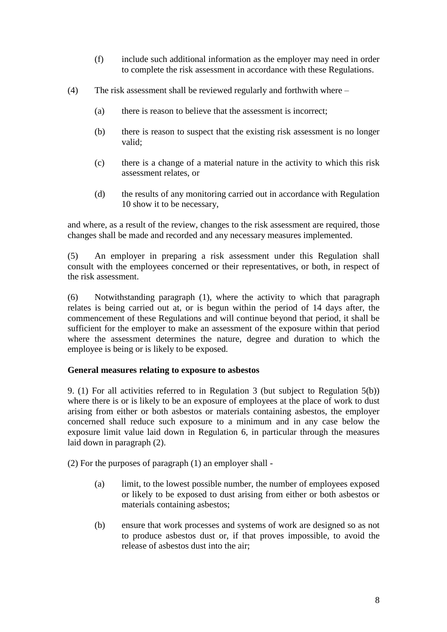- (f) include such additional information as the employer may need in order to complete the risk assessment in accordance with these Regulations.
- (4) The risk assessment shall be reviewed regularly and forthwith where
	- (a) there is reason to believe that the assessment is incorrect;
	- (b) there is reason to suspect that the existing risk assessment is no longer valid;
	- (c) there is a change of a material nature in the activity to which this risk assessment relates, or
	- (d) the results of any monitoring carried out in accordance with Regulation 10 show it to be necessary,

and where, as a result of the review, changes to the risk assessment are required, those changes shall be made and recorded and any necessary measures implemented.

(5) An employer in preparing a risk assessment under this Regulation shall consult with the employees concerned or their representatives, or both, in respect of the risk assessment.

(6) Notwithstanding paragraph (1), where the activity to which that paragraph relates is being carried out at, or is begun within the period of 14 days after, the commencement of these Regulations and will continue beyond that period, it shall be sufficient for the employer to make an assessment of the exposure within that period where the assessment determines the nature, degree and duration to which the employee is being or is likely to be exposed.

### **General measures relating to exposure to asbestos**

9. (1) For all activities referred to in Regulation 3 (but subject to Regulation 5(b)) where there is or is likely to be an exposure of employees at the place of work to dust arising from either or both asbestos or materials containing asbestos, the employer concerned shall reduce such exposure to a minimum and in any case below the exposure limit value laid down in Regulation 6, in particular through the measures laid down in paragraph (2).

(2) For the purposes of paragraph (1) an employer shall -

- (a) limit, to the lowest possible number, the number of employees exposed or likely to be exposed to dust arising from either or both asbestos or materials containing asbestos;
- (b) ensure that work processes and systems of work are designed so as not to produce asbestos dust or, if that proves impossible, to avoid the release of asbestos dust into the air;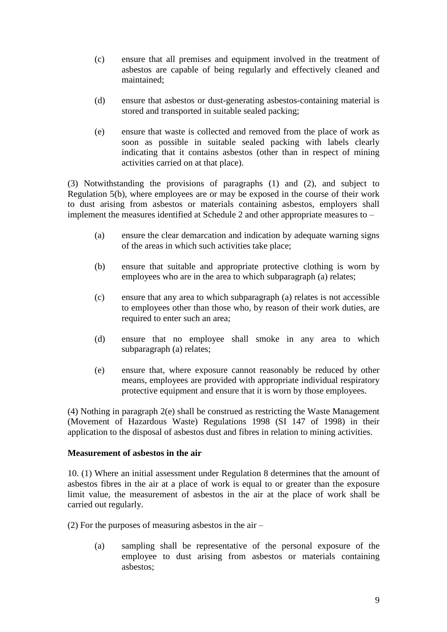- (c) ensure that all premises and equipment involved in the treatment of asbestos are capable of being regularly and effectively cleaned and maintained;
- (d) ensure that asbestos or dust-generating asbestos-containing material is stored and transported in suitable sealed packing;
- (e) ensure that waste is collected and removed from the place of work as soon as possible in suitable sealed packing with labels clearly indicating that it contains asbestos (other than in respect of mining activities carried on at that place).

(3) Notwithstanding the provisions of paragraphs (1) and (2), and subject to Regulation 5(b), where employees are or may be exposed in the course of their work to dust arising from asbestos or materials containing asbestos, employers shall implement the measures identified at Schedule 2 and other appropriate measures to –

- (a) ensure the clear demarcation and indication by adequate warning signs of the areas in which such activities take place;
- (b) ensure that suitable and appropriate protective clothing is worn by employees who are in the area to which subparagraph (a) relates;
- (c) ensure that any area to which subparagraph (a) relates is not accessible to employees other than those who, by reason of their work duties, are required to enter such an area;
- (d) ensure that no employee shall smoke in any area to which subparagraph (a) relates;
- (e) ensure that, where exposure cannot reasonably be reduced by other means, employees are provided with appropriate individual respiratory protective equipment and ensure that it is worn by those employees.

(4) Nothing in paragraph 2(e) shall be construed as restricting the Waste Management (Movement of Hazardous Waste) Regulations 1998 (SI 147 of 1998) in their application to the disposal of asbestos dust and fibres in relation to mining activities.

### **Measurement of asbestos in the air**

10. (1) Where an initial assessment under Regulation 8 determines that the amount of asbestos fibres in the air at a place of work is equal to or greater than the exposure limit value, the measurement of asbestos in the air at the place of work shall be carried out regularly.

(2) For the purposes of measuring asbestos in the air –

(a) sampling shall be representative of the personal exposure of the employee to dust arising from asbestos or materials containing asbestos;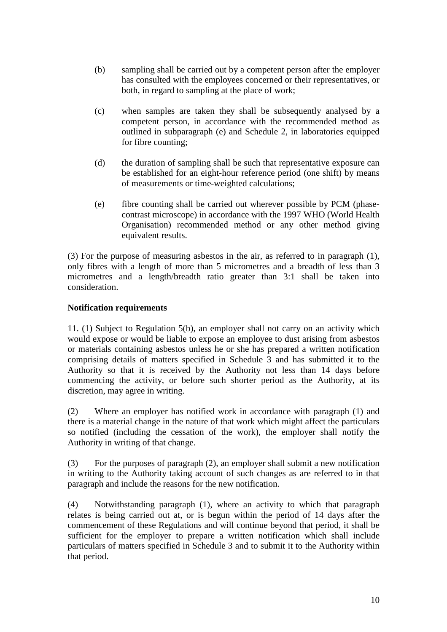- (b) sampling shall be carried out by a competent person after the employer has consulted with the employees concerned or their representatives, or both, in regard to sampling at the place of work;
- (c) when samples are taken they shall be subsequently analysed by a competent person, in accordance with the recommended method as outlined in subparagraph (e) and Schedule 2, in laboratories equipped for fibre counting;
- (d) the duration of sampling shall be such that representative exposure can be established for an eight-hour reference period (one shift) by means of measurements or time-weighted calculations;
- (e) fibre counting shall be carried out wherever possible by PCM (phasecontrast microscope) in accordance with the 1997 WHO (World Health Organisation) recommended method or any other method giving equivalent results.

(3) For the purpose of measuring asbestos in the air, as referred to in paragraph (1), only fibres with a length of more than 5 micrometres and a breadth of less than 3 micrometres and a length/breadth ratio greater than 3:1 shall be taken into consideration.

## **Notification requirements**

11. (1) Subject to Regulation 5(b), an employer shall not carry on an activity which would expose or would be liable to expose an employee to dust arising from asbestos or materials containing asbestos unless he or she has prepared a written notification comprising details of matters specified in Schedule 3 and has submitted it to the Authority so that it is received by the Authority not less than 14 days before commencing the activity, or before such shorter period as the Authority, at its discretion, may agree in writing.

(2) Where an employer has notified work in accordance with paragraph (1) and there is a material change in the nature of that work which might affect the particulars so notified (including the cessation of the work), the employer shall notify the Authority in writing of that change.

(3) For the purposes of paragraph (2), an employer shall submit a new notification in writing to the Authority taking account of such changes as are referred to in that paragraph and include the reasons for the new notification.

(4) Notwithstanding paragraph (1), where an activity to which that paragraph relates is being carried out at, or is begun within the period of 14 days after the commencement of these Regulations and will continue beyond that period, it shall be sufficient for the employer to prepare a written notification which shall include particulars of matters specified in Schedule 3 and to submit it to the Authority within that period.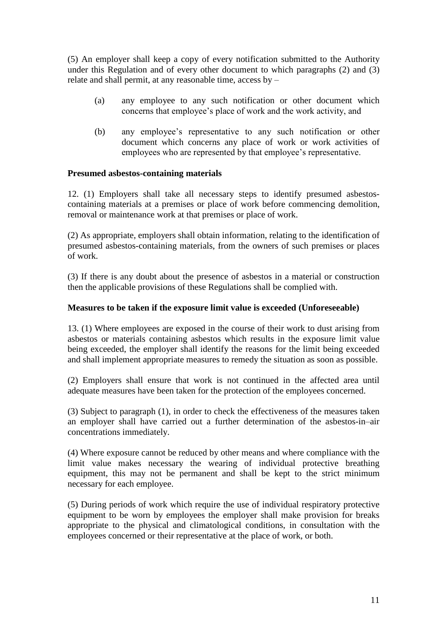(5) An employer shall keep a copy of every notification submitted to the Authority under this Regulation and of every other document to which paragraphs (2) and (3) relate and shall permit, at any reasonable time, access by –

- (a) any employee to any such notification or other document which concerns that employee's place of work and the work activity, and
- (b) any employee's representative to any such notification or other document which concerns any place of work or work activities of employees who are represented by that employee's representative.

### **Presumed asbestos-containing materials**

12. (1) Employers shall take all necessary steps to identify presumed asbestoscontaining materials at a premises or place of work before commencing demolition, removal or maintenance work at that premises or place of work.

(2) As appropriate, employers shall obtain information, relating to the identification of presumed asbestos-containing materials, from the owners of such premises or places of work.

(3) If there is any doubt about the presence of asbestos in a material or construction then the applicable provisions of these Regulations shall be complied with.

### **Measures to be taken if the exposure limit value is exceeded (Unforeseeable)**

13. (1) Where employees are exposed in the course of their work to dust arising from asbestos or materials containing asbestos which results in the exposure limit value being exceeded, the employer shall identify the reasons for the limit being exceeded and shall implement appropriate measures to remedy the situation as soon as possible.

(2) Employers shall ensure that work is not continued in the affected area until adequate measures have been taken for the protection of the employees concerned.

(3) Subject to paragraph (1), in order to check the effectiveness of the measures taken an employer shall have carried out a further determination of the asbestos-in–air concentrations immediately.

(4) Where exposure cannot be reduced by other means and where compliance with the limit value makes necessary the wearing of individual protective breathing equipment, this may not be permanent and shall be kept to the strict minimum necessary for each employee.

(5) During periods of work which require the use of individual respiratory protective equipment to be worn by employees the employer shall make provision for breaks appropriate to the physical and climatological conditions, in consultation with the employees concerned or their representative at the place of work, or both.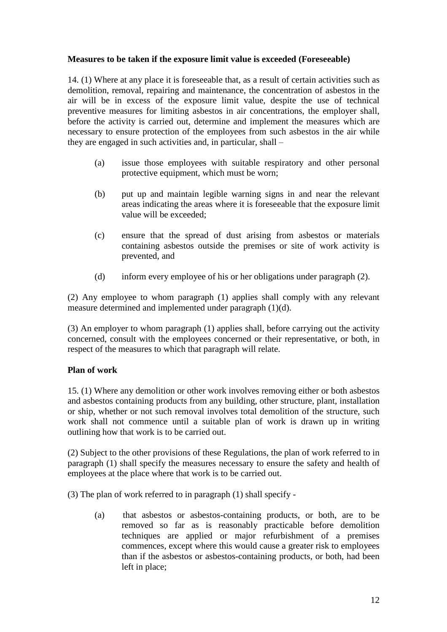## **Measures to be taken if the exposure limit value is exceeded (Foreseeable)**

14. (1) Where at any place it is foreseeable that, as a result of certain activities such as demolition, removal, repairing and maintenance, the concentration of asbestos in the air will be in excess of the exposure limit value, despite the use of technical preventive measures for limiting asbestos in air concentrations, the employer shall, before the activity is carried out, determine and implement the measures which are necessary to ensure protection of the employees from such asbestos in the air while they are engaged in such activities and, in particular, shall –

- (a) issue those employees with suitable respiratory and other personal protective equipment, which must be worn;
- (b) put up and maintain legible warning signs in and near the relevant areas indicating the areas where it is foreseeable that the exposure limit value will be exceeded;
- (c) ensure that the spread of dust arising from asbestos or materials containing asbestos outside the premises or site of work activity is prevented, and
- (d) inform every employee of his or her obligations under paragraph (2).

(2) Any employee to whom paragraph (1) applies shall comply with any relevant measure determined and implemented under paragraph (1)(d).

(3) An employer to whom paragraph (1) applies shall, before carrying out the activity concerned, consult with the employees concerned or their representative, or both, in respect of the measures to which that paragraph will relate.

## **Plan of work**

15. (1) Where any demolition or other work involves removing either or both asbestos and asbestos containing products from any building, other structure, plant, installation or ship, whether or not such removal involves total demolition of the structure, such work shall not commence until a suitable plan of work is drawn up in writing outlining how that work is to be carried out.

(2) Subject to the other provisions of these Regulations, the plan of work referred to in paragraph (1) shall specify the measures necessary to ensure the safety and health of employees at the place where that work is to be carried out.

(3) The plan of work referred to in paragraph (1) shall specify -

(a) that asbestos or asbestos-containing products, or both, are to be removed so far as is reasonably practicable before demolition techniques are applied or major refurbishment of a premises commences, except where this would cause a greater risk to employees than if the asbestos or asbestos-containing products, or both, had been left in place;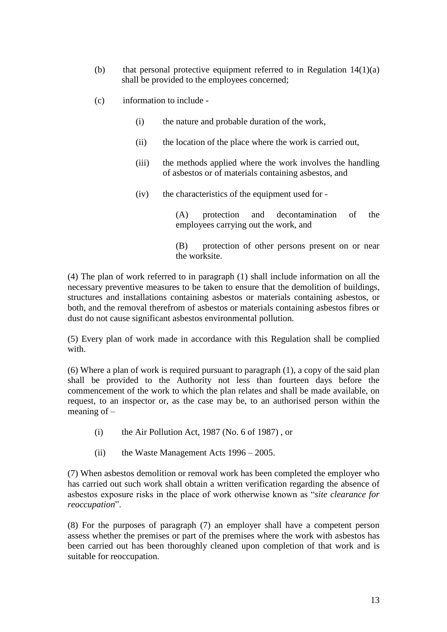- (b) that personal protective equipment referred to in Regulation  $14(1)(a)$ shall be provided to the employees concerned;
- (c) information to include
	- (i) the nature and probable duration of the work,
	- (ii) the location of the place where the work is carried out,
	- (iii) the methods applied where the work involves the handling of asbestos or of materials containing asbestos, and
	- (iv) the characteristics of the equipment used for -

(A) protection and decontamination of the employees carrying out the work, and

(B) protection of other persons present on or near the worksite.

(4) The plan of work referred to in paragraph (1) shall include information on all the necessary preventive measures to be taken to ensure that the demolition of buildings, structures and installations containing asbestos or materials containing asbestos, or both, and the removal therefrom of asbestos or materials containing asbestos fibres or dust do not cause significant asbestos environmental pollution.

(5) Every plan of work made in accordance with this Regulation shall be complied with.

(6) Where a plan of work is required pursuant to paragraph (1), a copy of the said plan shall be provided to the Authority not less than fourteen days before the commencement of the work to which the plan relates and shall be made available, on request, to an inspector or, as the case may be, to an authorised person within the meaning of –

- $(i)$  the Air Pollution Act, 1987 (No. 6 of 1987), or
- (ii) the Waste Management Acts  $1996 2005$ .

(7) When asbestos demolition or removal work has been completed the employer who has carried out such work shall obtain a written verification regarding the absence of asbestos exposure risks in the place of work otherwise known as "*site clearance for reoccupation*".

(8) For the purposes of paragraph (7) an employer shall have a competent person assess whether the premises or part of the premises where the work with asbestos has been carried out has been thoroughly cleaned upon completion of that work and is suitable for reoccupation.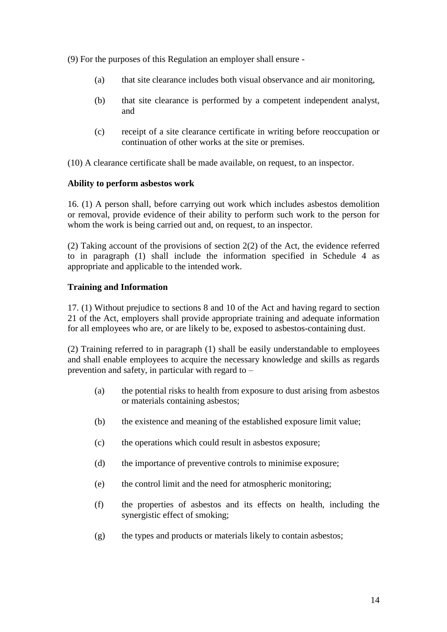(9) For the purposes of this Regulation an employer shall ensure -

- (a) that site clearance includes both visual observance and air monitoring,
- (b) that site clearance is performed by a competent independent analyst, and
- (c) receipt of a site clearance certificate in writing before reoccupation or continuation of other works at the site or premises.

(10) A clearance certificate shall be made available, on request, to an inspector.

## **Ability to perform asbestos work**

16. (1) A person shall, before carrying out work which includes asbestos demolition or removal, provide evidence of their ability to perform such work to the person for whom the work is being carried out and, on request, to an inspector.

(2) Taking account of the provisions of section 2(2) of the Act, the evidence referred to in paragraph (1) shall include the information specified in Schedule 4 as appropriate and applicable to the intended work.

## **Training and Information**

17. (1) Without prejudice to sections 8 and 10 of the Act and having regard to section 21 of the Act, employers shall provide appropriate training and adequate information for all employees who are, or are likely to be, exposed to asbestos-containing dust.

(2) Training referred to in paragraph (1) shall be easily understandable to employees and shall enable employees to acquire the necessary knowledge and skills as regards prevention and safety, in particular with regard to –

- (a) the potential risks to health from exposure to dust arising from asbestos or materials containing asbestos;
- (b) the existence and meaning of the established exposure limit value;
- (c) the operations which could result in asbestos exposure;
- (d) the importance of preventive controls to minimise exposure;
- (e) the control limit and the need for atmospheric monitoring;
- (f) the properties of asbestos and its effects on health, including the synergistic effect of smoking;
- (g) the types and products or materials likely to contain asbestos;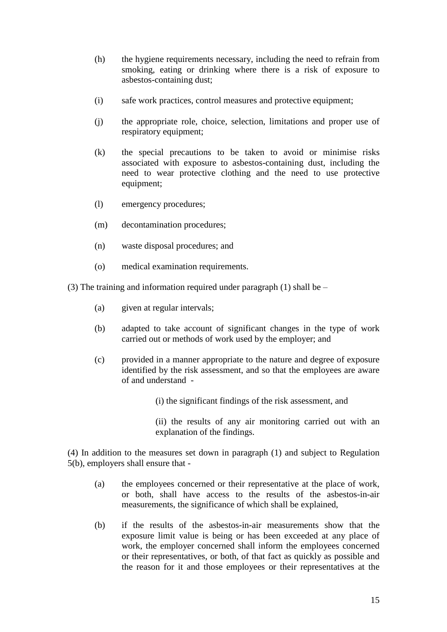- (h) the hygiene requirements necessary, including the need to refrain from smoking, eating or drinking where there is a risk of exposure to asbestos-containing dust;
- (i) safe work practices, control measures and protective equipment;
- (j) the appropriate role, choice, selection, limitations and proper use of respiratory equipment;
- (k) the special precautions to be taken to avoid or minimise risks associated with exposure to asbestos-containing dust, including the need to wear protective clothing and the need to use protective equipment;
- (l) emergency procedures;
- (m) decontamination procedures;
- (n) waste disposal procedures; and
- (o) medical examination requirements.

(3) The training and information required under paragraph (1) shall be  $-$ 

- (a) given at regular intervals;
- (b) adapted to take account of significant changes in the type of work carried out or methods of work used by the employer; and
- (c) provided in a manner appropriate to the nature and degree of exposure identified by the risk assessment, and so that the employees are aware of and understand -
	- (i) the significant findings of the risk assessment, and
	- (ii) the results of any air monitoring carried out with an explanation of the findings.

(4) In addition to the measures set down in paragraph (1) and subject to Regulation 5(b), employers shall ensure that -

- (a) the employees concerned or their representative at the place of work, or both, shall have access to the results of the asbestos-in-air measurements, the significance of which shall be explained,
- (b) if the results of the asbestos-in-air measurements show that the exposure limit value is being or has been exceeded at any place of work, the employer concerned shall inform the employees concerned or their representatives, or both, of that fact as quickly as possible and the reason for it and those employees or their representatives at the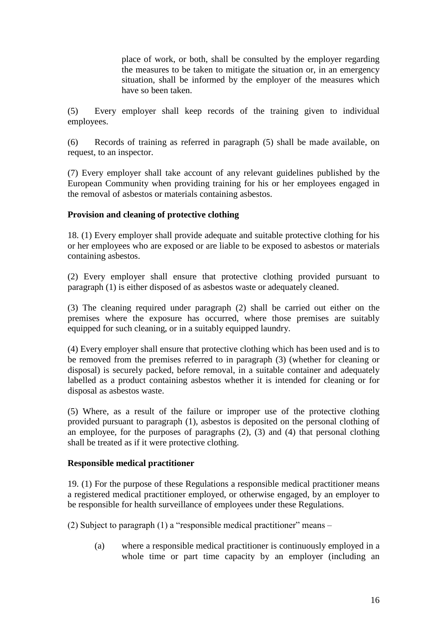place of work, or both, shall be consulted by the employer regarding the measures to be taken to mitigate the situation or, in an emergency situation, shall be informed by the employer of the measures which have so been taken.

(5) Every employer shall keep records of the training given to individual employees.

(6) Records of training as referred in paragraph (5) shall be made available, on request, to an inspector.

(7) Every employer shall take account of any relevant guidelines published by the European Community when providing training for his or her employees engaged in the removal of asbestos or materials containing asbestos.

# **Provision and cleaning of protective clothing**

18. (1) Every employer shall provide adequate and suitable protective clothing for his or her employees who are exposed or are liable to be exposed to asbestos or materials containing asbestos.

(2) Every employer shall ensure that protective clothing provided pursuant to paragraph (1) is either disposed of as asbestos waste or adequately cleaned.

(3) The cleaning required under paragraph (2) shall be carried out either on the premises where the exposure has occurred, where those premises are suitably equipped for such cleaning, or in a suitably equipped laundry.

(4) Every employer shall ensure that protective clothing which has been used and is to be removed from the premises referred to in paragraph (3) (whether for cleaning or disposal) is securely packed, before removal, in a suitable container and adequately labelled as a product containing asbestos whether it is intended for cleaning or for disposal as asbestos waste.

(5) Where, as a result of the failure or improper use of the protective clothing provided pursuant to paragraph (1), asbestos is deposited on the personal clothing of an employee, for the purposes of paragraphs (2), (3) and (4) that personal clothing shall be treated as if it were protective clothing.

## **Responsible medical practitioner**

19. (1) For the purpose of these Regulations a responsible medical practitioner means a registered medical practitioner employed, or otherwise engaged, by an employer to be responsible for health surveillance of employees under these Regulations.

(2) Subject to paragraph (1) a "responsible medical practitioner" means –

(a) where a responsible medical practitioner is continuously employed in a whole time or part time capacity by an employer (including an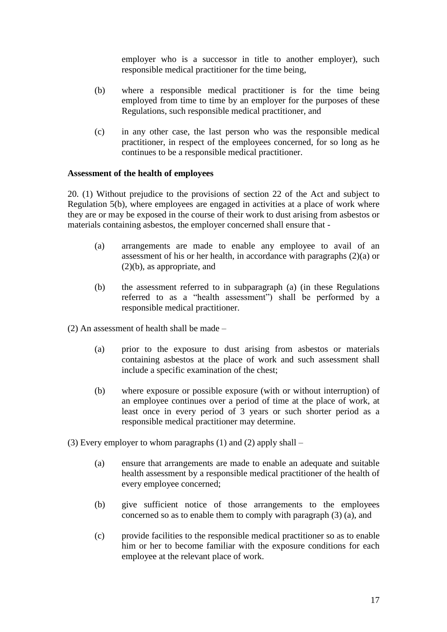employer who is a successor in title to another employer), such responsible medical practitioner for the time being,

- (b) where a responsible medical practitioner is for the time being employed from time to time by an employer for the purposes of these Regulations, such responsible medical practitioner, and
- (c) in any other case, the last person who was the responsible medical practitioner, in respect of the employees concerned, for so long as he continues to be a responsible medical practitioner.

### **Assessment of the health of employees**

20. (1) Without prejudice to the provisions of section 22 of the Act and subject to Regulation 5(b), where employees are engaged in activities at a place of work where they are or may be exposed in the course of their work to dust arising from asbestos or materials containing asbestos, the employer concerned shall ensure that -

- (a) arrangements are made to enable any employee to avail of an assessment of his or her health, in accordance with paragraphs (2)(a) or (2)(b), as appropriate, and
- (b) the assessment referred to in subparagraph (a) (in these Regulations referred to as a "health assessment") shall be performed by a responsible medical practitioner.

(2) An assessment of health shall be made –

- (a) prior to the exposure to dust arising from asbestos or materials containing asbestos at the place of work and such assessment shall include a specific examination of the chest;
- (b) where exposure or possible exposure (with or without interruption) of an employee continues over a period of time at the place of work, at least once in every period of 3 years or such shorter period as a responsible medical practitioner may determine.
- (3) Every employer to whom paragraphs  $(1)$  and  $(2)$  apply shall
	- (a) ensure that arrangements are made to enable an adequate and suitable health assessment by a responsible medical practitioner of the health of every employee concerned;
	- (b) give sufficient notice of those arrangements to the employees concerned so as to enable them to comply with paragraph (3) (a), and
	- (c) provide facilities to the responsible medical practitioner so as to enable him or her to become familiar with the exposure conditions for each employee at the relevant place of work.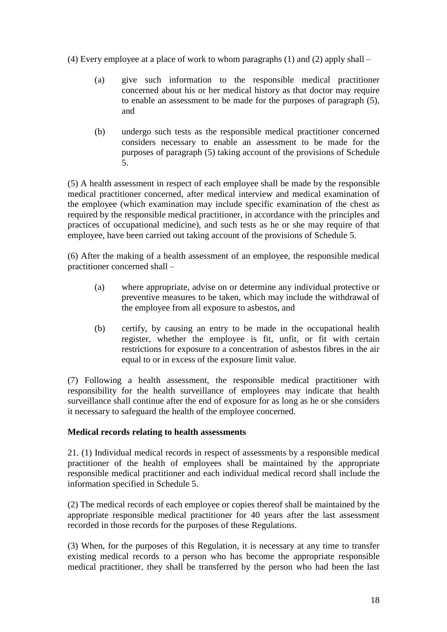(4) Every employee at a place of work to whom paragraphs (1) and (2) apply shall –

- (a) give such information to the responsible medical practitioner concerned about his or her medical history as that doctor may require to enable an assessment to be made for the purposes of paragraph (5), and
- (b) undergo such tests as the responsible medical practitioner concerned considers necessary to enable an assessment to be made for the purposes of paragraph (5) taking account of the provisions of Schedule 5.

(5) A health assessment in respect of each employee shall be made by the responsible medical practitioner concerned, after medical interview and medical examination of the employee (which examination may include specific examination of the chest as required by the responsible medical practitioner, in accordance with the principles and practices of occupational medicine), and such tests as he or she may require of that employee, have been carried out taking account of the provisions of Schedule 5.

(6) After the making of a health assessment of an employee, the responsible medical practitioner concerned shall –

- (a) where appropriate, advise on or determine any individual protective or preventive measures to be taken, which may include the withdrawal of the employee from all exposure to asbestos, and
- (b) certify, by causing an entry to be made in the occupational health register, whether the employee is fit, unfit, or fit with certain restrictions for exposure to a concentration of asbestos fibres in the air equal to or in excess of the exposure limit value.

(7) Following a health assessment, the responsible medical practitioner with responsibility for the health surveillance of employees may indicate that health surveillance shall continue after the end of exposure for as long as he or she considers it necessary to safeguard the health of the employee concerned.

# **Medical records relating to health assessments**

21. (1) Individual medical records in respect of assessments by a responsible medical practitioner of the health of employees shall be maintained by the appropriate responsible medical practitioner and each individual medical record shall include the information specified in Schedule 5.

(2) The medical records of each employee or copies thereof shall be maintained by the appropriate responsible medical practitioner for 40 years after the last assessment recorded in those records for the purposes of these Regulations.

(3) When, for the purposes of this Regulation, it is necessary at any time to transfer existing medical records to a person who has become the appropriate responsible medical practitioner, they shall be transferred by the person who had been the last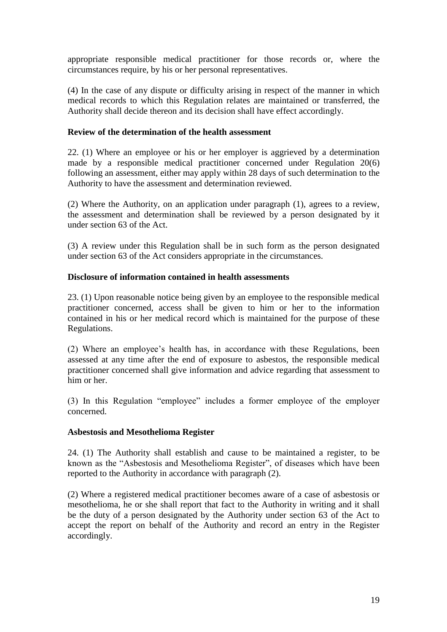appropriate responsible medical practitioner for those records or, where the circumstances require, by his or her personal representatives.

(4) In the case of any dispute or difficulty arising in respect of the manner in which medical records to which this Regulation relates are maintained or transferred, the Authority shall decide thereon and its decision shall have effect accordingly.

### **Review of the determination of the health assessment**

22. (1) Where an employee or his or her employer is aggrieved by a determination made by a responsible medical practitioner concerned under Regulation 20(6) following an assessment, either may apply within 28 days of such determination to the Authority to have the assessment and determination reviewed.

(2) Where the Authority, on an application under paragraph (1), agrees to a review, the assessment and determination shall be reviewed by a person designated by it under section 63 of the Act.

(3) A review under this Regulation shall be in such form as the person designated under section 63 of the Act considers appropriate in the circumstances.

## **Disclosure of information contained in health assessments**

23. (1) Upon reasonable notice being given by an employee to the responsible medical practitioner concerned, access shall be given to him or her to the information contained in his or her medical record which is maintained for the purpose of these Regulations.

(2) Where an employee's health has, in accordance with these Regulations, been assessed at any time after the end of exposure to asbestos, the responsible medical practitioner concerned shall give information and advice regarding that assessment to him or her.

(3) In this Regulation "employee" includes a former employee of the employer concerned.

## **Asbestosis and Mesothelioma Register**

24. (1) The Authority shall establish and cause to be maintained a register, to be known as the "Asbestosis and Mesothelioma Register", of diseases which have been reported to the Authority in accordance with paragraph (2).

(2) Where a registered medical practitioner becomes aware of a case of asbestosis or mesothelioma, he or she shall report that fact to the Authority in writing and it shall be the duty of a person designated by the Authority under section 63 of the Act to accept the report on behalf of the Authority and record an entry in the Register accordingly.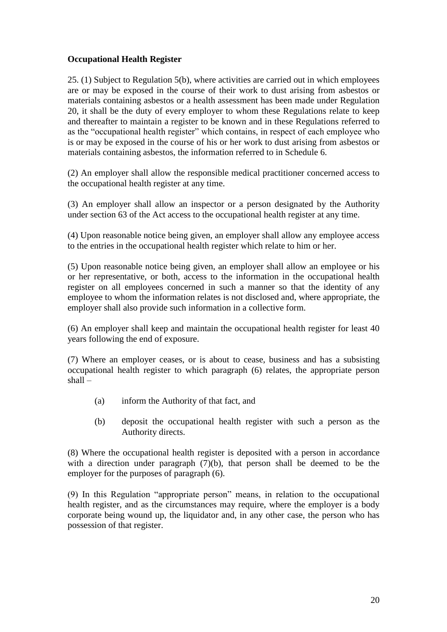## **Occupational Health Register**

25. (1) Subject to Regulation 5(b), where activities are carried out in which employees are or may be exposed in the course of their work to dust arising from asbestos or materials containing asbestos or a health assessment has been made under Regulation 20, it shall be the duty of every employer to whom these Regulations relate to keep and thereafter to maintain a register to be known and in these Regulations referred to as the "occupational health register" which contains, in respect of each employee who is or may be exposed in the course of his or her work to dust arising from asbestos or materials containing asbestos, the information referred to in Schedule 6.

(2) An employer shall allow the responsible medical practitioner concerned access to the occupational health register at any time.

(3) An employer shall allow an inspector or a person designated by the Authority under section 63 of the Act access to the occupational health register at any time.

(4) Upon reasonable notice being given, an employer shall allow any employee access to the entries in the occupational health register which relate to him or her.

(5) Upon reasonable notice being given, an employer shall allow an employee or his or her representative, or both, access to the information in the occupational health register on all employees concerned in such a manner so that the identity of any employee to whom the information relates is not disclosed and, where appropriate, the employer shall also provide such information in a collective form.

(6) An employer shall keep and maintain the occupational health register for least 40 years following the end of exposure.

(7) Where an employer ceases, or is about to cease, business and has a subsisting occupational health register to which paragraph (6) relates, the appropriate person shall –

- (a) inform the Authority of that fact, and
- (b) deposit the occupational health register with such a person as the Authority directs.

(8) Where the occupational health register is deposited with a person in accordance with a direction under paragraph (7)(b), that person shall be deemed to be the employer for the purposes of paragraph (6).

(9) In this Regulation "appropriate person" means, in relation to the occupational health register, and as the circumstances may require, where the employer is a body corporate being wound up, the liquidator and, in any other case, the person who has possession of that register.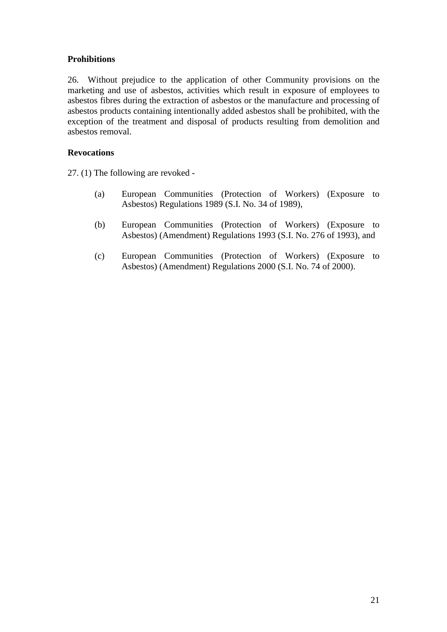# **Prohibitions**

26. Without prejudice to the application of other Community provisions on the marketing and use of asbestos, activities which result in exposure of employees to asbestos fibres during the extraction of asbestos or the manufacture and processing of asbestos products containing intentionally added asbestos shall be prohibited, with the exception of the treatment and disposal of products resulting from demolition and asbestos removal.

## **Revocations**

27. (1) The following are revoked -

- (a) European Communities (Protection of Workers) (Exposure to Asbestos) Regulations 1989 (S.I. No. 34 of 1989),
- (b) European Communities (Protection of Workers) (Exposure to Asbestos) (Amendment) Regulations 1993 (S.I. No. 276 of 1993), and
- (c) European Communities (Protection of Workers) (Exposure to Asbestos) (Amendment) Regulations 2000 (S.I. No. 74 of 2000).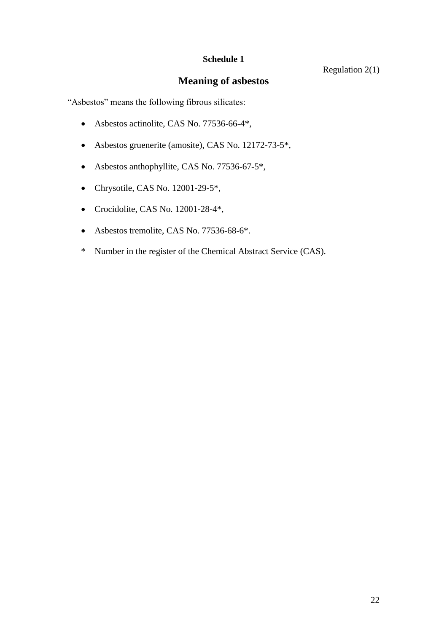# **Meaning of asbestos**

"Asbestos" means the following fibrous silicates:

- Asbestos actinolite, CAS No. 77536-66-4\*,
- Asbestos gruenerite (amosite), CAS No. 12172-73-5\*,
- Asbestos anthophyllite, CAS No. 77536-67-5\*,
- Chrysotile, CAS No. 12001-29-5\*,
- Crocidolite, CAS No. 12001-28-4\*,
- Asbestos tremolite, CAS No. 77536-68-6\*.
- \* Number in the register of the Chemical Abstract Service (CAS).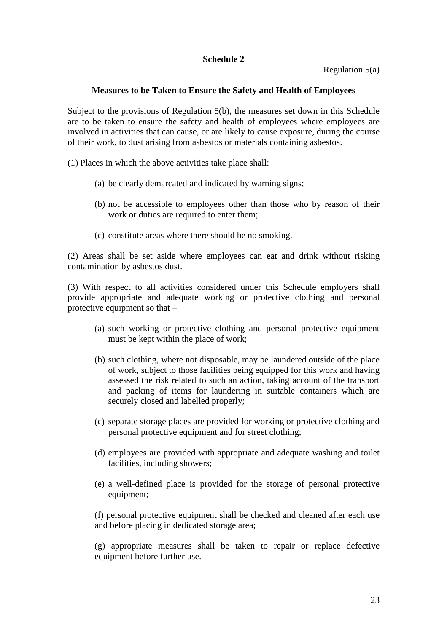Regulation 5(a)

## **Measures to be Taken to Ensure the Safety and Health of Employees**

Subject to the provisions of Regulation 5(b), the measures set down in this Schedule are to be taken to ensure the safety and health of employees where employees are involved in activities that can cause, or are likely to cause exposure, during the course of their work, to dust arising from asbestos or materials containing asbestos.

(1) Places in which the above activities take place shall:

- (a) be clearly demarcated and indicated by warning signs;
- (b) not be accessible to employees other than those who by reason of their work or duties are required to enter them;
- (c) constitute areas where there should be no smoking.

(2) Areas shall be set aside where employees can eat and drink without risking contamination by asbestos dust.

(3) With respect to all activities considered under this Schedule employers shall provide appropriate and adequate working or protective clothing and personal protective equipment so that –

- (a) such working or protective clothing and personal protective equipment must be kept within the place of work;
- (b) such clothing, where not disposable, may be laundered outside of the place of work, subject to those facilities being equipped for this work and having assessed the risk related to such an action, taking account of the transport and packing of items for laundering in suitable containers which are securely closed and labelled properly;
- (c) separate storage places are provided for working or protective clothing and personal protective equipment and for street clothing;
- (d) employees are provided with appropriate and adequate washing and toilet facilities, including showers;
- (e) a well-defined place is provided for the storage of personal protective equipment;

(f) personal protective equipment shall be checked and cleaned after each use and before placing in dedicated storage area;

(g) appropriate measures shall be taken to repair or replace defective equipment before further use.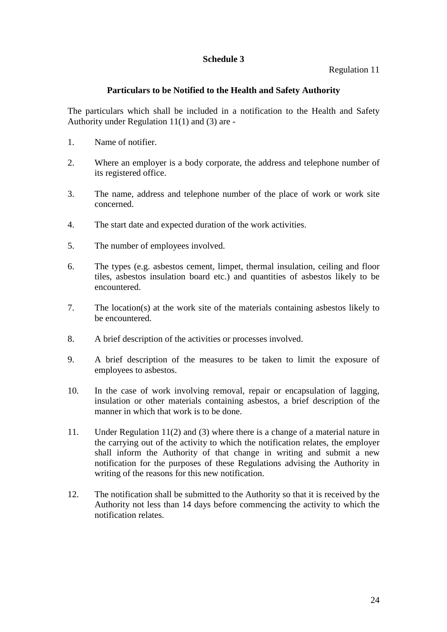## Regulation 11

## **Particulars to be Notified to the Health and Safety Authority**

The particulars which shall be included in a notification to the Health and Safety Authority under Regulation 11(1) and (3) are -

- 1. Name of notifier.
- 2. Where an employer is a body corporate, the address and telephone number of its registered office.
- 3. The name, address and telephone number of the place of work or work site concerned.
- 4. The start date and expected duration of the work activities.
- 5. The number of employees involved.
- 6. The types (e.g. asbestos cement, limpet, thermal insulation, ceiling and floor tiles, asbestos insulation board etc.) and quantities of asbestos likely to be encountered.
- 7. The location(s) at the work site of the materials containing asbestos likely to be encountered.
- 8. A brief description of the activities or processes involved.
- 9. A brief description of the measures to be taken to limit the exposure of employees to asbestos.
- 10. In the case of work involving removal, repair or encapsulation of lagging, insulation or other materials containing asbestos, a brief description of the manner in which that work is to be done.
- 11. Under Regulation 11(2) and (3) where there is a change of a material nature in the carrying out of the activity to which the notification relates, the employer shall inform the Authority of that change in writing and submit a new notification for the purposes of these Regulations advising the Authority in writing of the reasons for this new notification.
- 12. The notification shall be submitted to the Authority so that it is received by the Authority not less than 14 days before commencing the activity to which the notification relates.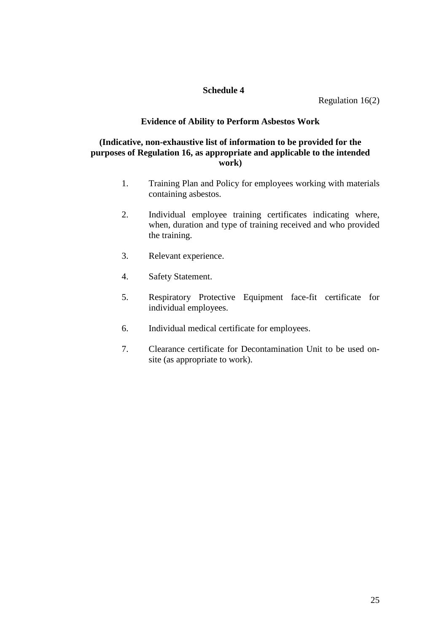Regulation 16(2)

## **Evidence of Ability to Perform Asbestos Work**

## **(Indicative, non-exhaustive list of information to be provided for the purposes of Regulation 16, as appropriate and applicable to the intended work)**

- 1. Training Plan and Policy for employees working with materials containing asbestos.
- 2. Individual employee training certificates indicating where, when, duration and type of training received and who provided the training.
- 3. Relevant experience.
- 4. Safety Statement.
- 5. Respiratory Protective Equipment face-fit certificate for individual employees.
- 6. Individual medical certificate for employees.
- 7. Clearance certificate for Decontamination Unit to be used onsite (as appropriate to work).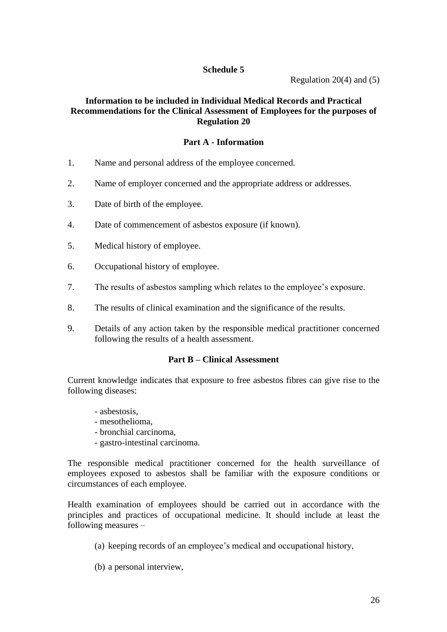Regulation 20 $(4)$  and  $(5)$ 

# **Information to be included in Individual Medical Records and Practical Recommendations for the Clinical Assessment of Employees for the purposes of Regulation 20**

## **Part A - Information**

- 1. Name and personal address of the employee concerned.
- 2. Name of employer concerned and the appropriate address or addresses.
- 3. Date of birth of the employee.
- 4. Date of commencement of asbestos exposure (if known).
- 5. Medical history of employee.
- 6. Occupational history of employee.
- 7. The results of asbestos sampling which relates to the employee's exposure.
- 8. The results of clinical examination and the significance of the results.
- 9. Details of any action taken by the responsible medical practitioner concerned following the results of a health assessment.

### **Part B –Clinical Assessment**

Current knowledge indicates that exposure to free asbestos fibres can give rise to the following diseases:

- asbestosis,
- mesothelioma,
- bronchial carcinoma,
- gastro-intestinal carcinoma.

The responsible medical practitioner concerned for the health surveillance of employees exposed to asbestos shall be familiar with the exposure conditions or circumstances of each employee.

Health examination of employees should be carried out in accordance with the principles and practices of occupational medicine. It should include at least the following measures –

- (a) keeping records of an employee's medical and occupational history,
- (b) a personal interview,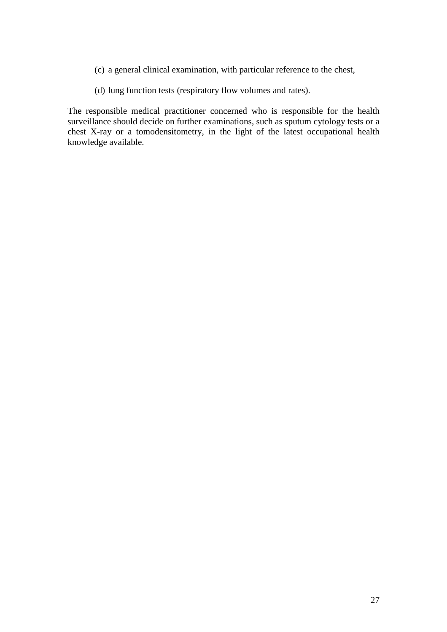- (c) a general clinical examination, with particular reference to the chest,
- (d) lung function tests (respiratory flow volumes and rates).

The responsible medical practitioner concerned who is responsible for the health surveillance should decide on further examinations, such as sputum cytology tests or a chest X-ray or a tomodensitometry, in the light of the latest occupational health knowledge available.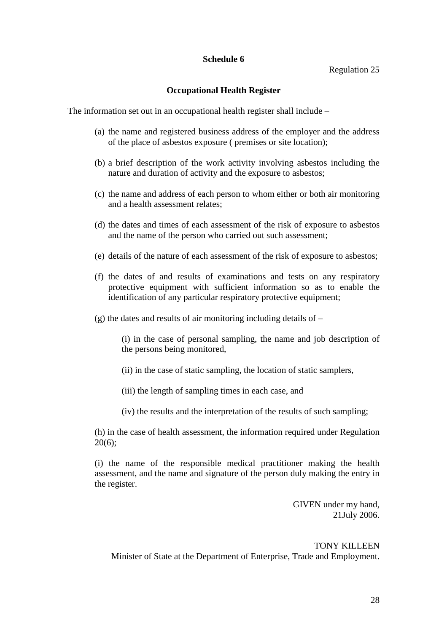### Regulation 25

## **Occupational Health Register**

The information set out in an occupational health register shall include –

- (a) the name and registered business address of the employer and the address of the place of asbestos exposure ( premises or site location);
- (b) a brief description of the work activity involving asbestos including the nature and duration of activity and the exposure to asbestos;
- (c) the name and address of each person to whom either or both air monitoring and a health assessment relates;
- (d) the dates and times of each assessment of the risk of exposure to asbestos and the name of the person who carried out such assessment;
- (e) details of the nature of each assessment of the risk of exposure to asbestos;
- (f) the dates of and results of examinations and tests on any respiratory protective equipment with sufficient information so as to enable the identification of any particular respiratory protective equipment;
- (g) the dates and results of air monitoring including details of –

(i) in the case of personal sampling, the name and job description of the persons being monitored,

- (ii) in the case of static sampling, the location of static samplers,
- (iii) the length of sampling times in each case, and
- (iv) the results and the interpretation of the results of such sampling;

(h) in the case of health assessment, the information required under Regulation 20(6);

(i) the name of the responsible medical practitioner making the health assessment, and the name and signature of the person duly making the entry in the register.

> GIVEN under my hand, 21July 2006.

TONY KILLEEN Minister of State at the Department of Enterprise, Trade and Employment.